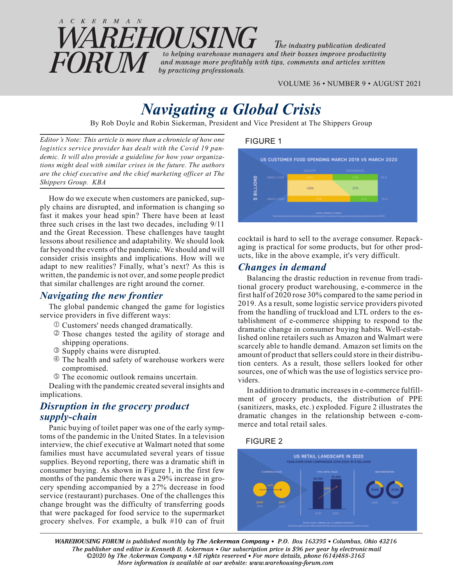#### $C \ K \ E \ R \ M \ A \ N$ EHOUSIN The industry publication dedicated to helping warehouse managers and their bosses improve productivity **FORTM** and manage more profitably with tips, comments and articles written by practicing professionals.

VOLUME 36 • NUMBER 9 • AUGUST 2021

# *Navigating a Global Crisis*

By Rob Doyle and Robin Siekerman, President and Vice President at The Shippers Group

*Editor's Note: This article is more than a chronicle of how one logistics service provider has dealt with the Covid 19 pandemic. It will also provide a guideline for how your organizations might deal with similar crises in the future. The authors are the chief executive and the chief marketing officer at The Shippers Group. KBA*

How do we execute when customers are panicked, supply chains are disrupted, and information is changing so fast it makes your head spin? There have been at least three such crises in the last two decades, including 9/11 and the Great Recession. These challenges have taught lessons about resilience and adaptability. We should look far beyond the events of the pandemic. We should and will consider crisis insights and implications. How will we adapt to new realities? Finally, what's next? As this is written, the pandemic is not over, and some people predict that similar challenges are right around the corner.

## *Navigating the new frontier*

The global pandemic changed the game for logistics service providers in five different ways:

- Customers' needs changed dramatically.
- Those changes tested the agility of storage and shipping operations.
- Supply chains were disrupted.
- The health and safety of warehouse workers were compromised.
- The economic outlook remains uncertain.

Dealing with the pandemic created several insights and implications.

## *Disruption in the grocery product supply-chain*

Panic buying of toilet paper was one of the early symptoms of the pandemic in the United States. In a television interview, the chief executive at Walmart noted that some families must have accumulated several years of tissue supplies. Beyond reporting, there was a dramatic shift in consumer buying. As shown in Figure 1, in the first few months of the pandemic there was a 29% increase in grocery spending accompanied by a 27% decrease in food service (restaurant) purchases. One of the challenges this change brought was the difficulty of transferring goods that were packaged for food service to the supermarket grocery shelves. For example, a bulk #10 can of fruit

#### FIGURE 1



cocktail is hard to sell to the average consumer. Repackaging is practical for some products, but for other products, like in the above example, it's very difficult.

### *Changes in demand*

Balancing the drastic reduction in revenue from traditional grocery product warehousing, e-commerce in the first half of 2020 rose 30% compared to the same period in 2019. As a result, some logistic service providers pivoted from the handling of truckload and LTL orders to the establishment of e-commerce shipping to respond to the dramatic change in consumer buying habits. Well-established online retailers such as Amazon and Walmart were scarcely able to handle demand. Amazon set limits on the amount of product that sellers could store in their distribution centers. As a result, those sellers looked for other sources, one of which was the use of logistics service providers.

In addition to dramatic increases in e-commerce fulfillment of grocery products, the distribution of PPE (sanitizers, masks, etc.) exploded. Figure 2 illustrates the dramatic changes in the relationship between e-commerce and total retail sales.

#### FIGURE 2



*WAREHOUSING FORUM is published monthly by The Ackerman Company* • *P.O. Box 163395* • *Columbus, Ohio 43216 The publisher and editor is Kenneth B. Ackerman* • *Our subscription price is \$96 per year by electronic mail ©2020 by The Ackerman Company• All rights reserved• For more details, phone (614)488-3165 More information is available at our website: www.warehousing-forum.com*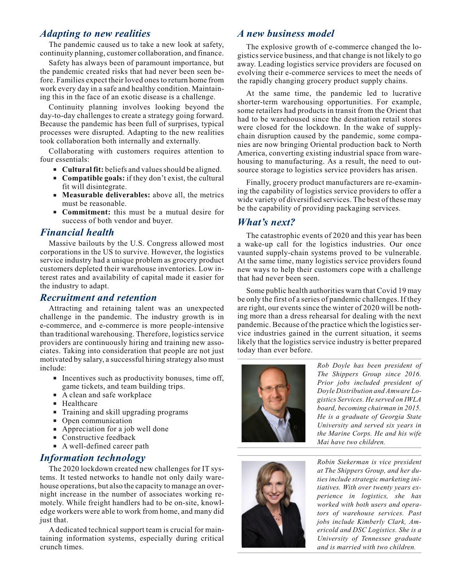#### *Adapting to new realities*

The pandemic caused us to take a new look at safety, continuity planning, customer collaboration, and finance.

Safety has always been of paramount importance, but the pandemic created risks that had never been seen before. Families expect their loved ones to return home from work every day in a safe and healthy condition. Maintaining this in the face of an exotic disease is a challenge.

Continuity planning involves looking beyond the day-to-day challenges to create a strategy going forward. Because the pandemic has been full of surprises, typical processes were disrupted. Adapting to the new realities took collaboration both internally and externally.

Collaborating with customers requires attention to four essentials:

- **Cultural fit:** beliefs and values should be aligned.
- **Compatible goals:** if they don't exist, the cultural fit will disintegrate.
- **Measurable deliverables:** above all, the metrics must be reasonable.
- **Commitment:** this must be a mutual desire for success of both vendor and buyer.

#### *Financial health*

Massive bailouts by the U.S. Congress allowed most corporations in the US to survive. However, the logistics service industry had a unique problem as grocery product customers depleted their warehouse inventories. Low interest rates and availability of capital made it easier for the industry to adapt.

#### *Recruitment and retention*

Attracting and retaining talent was an unexpected challenge in the pandemic. The industry growth is in e-commerce, and e-commerce is more people-intensive than traditional warehousing. Therefore, logistics service providers are continuously hiring and training new associates. Taking into consideration that people are not just motivated by salary, a successful hiring strategy also must include:

- Incentives such as productivity bonuses, time off, game tickets, and team building trips.
- A clean and safe workplace
- **Healthcare**
- **Training and skill upgrading programs**
- Open communication
- Appreciation for a job well done
- Constructive feedback
- A well-defined career path

#### *Information technology*

The 2020 lockdown created new challenges for IT systems. It tested networks to handle not only daily warehouse operations, but also the capacity to manage an overnight increase in the number of associates working remotely. While freight handlers had to be on-site, knowledge workers were able to work from home, and many did just that.

A dedicated technical support team is crucial for maintaining information systems, especially during critical crunch times.

### *A new business model*

The explosive growth of e-commerce changed the logistics service business, and that change is not likely to go away. Leading logistics service providers are focused on evolving their e-commerce services to meet the needs of the rapidly changing grocery product supply chains.

At the same time, the pandemic led to lucrative shorter-term warehousing opportunities. For example, some retailers had products in transit from the Orient that had to be warehoused since the destination retail stores were closed for the lockdown. In the wake of supplychain disruption caused by the pandemic, some companies are now bringing Oriental production back to North America, converting existing industrial space from warehousing to manufacturing. As a result, the need to outsource storage to logistics service providers has arisen.

Finally, grocery product manufacturers are re-examining the capability of logistics service providers to offer a wide variety of diversified services. The best of these may be the capability of providing packaging services.

### *What's next?*

The catastrophic events of 2020 and this year has been a wake-up call for the logistics industries. Our once vaunted supply-chain systems proved to be vulnerable. At the same time, many logistics service providers found new ways to help their customers cope with a challenge that had never been seen.

Some public health authorities warn that Covid 19 may be only the first of a series of pandemic challenges. If they are right, our events since the winter of 2020 will be nothing more than a dress rehearsal for dealing with the next pandemic. Because of the practice which the logistics service industries gained in the current situation, it seems likely that the logistics service industry is better prepared today than ever before.



*Rob Doyle has been president of The Shippers Group since 2016. Prior jobs included president of Doyle Distribution and Amware Logistics Services. He served on IWLA board, becoming chairman in 2015. He is a graduate of Georgia State University and served six years in the Marine Corps. He and his wife Mai have two children.*



*Robin Siekerman is vice president at The Shippers Group, and her duties include strategic marketing initiatives. With over twenty years experience in logistics, she has worked with both users and operators of warehouse services. Past jobs include Kimberly Clark, Americold and DSC Logistics. She is a University of Tennessee graduate and is married with two children.*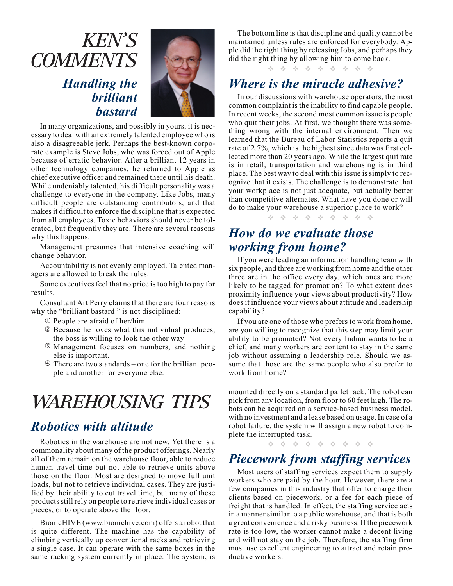

*brilliant bastard*



In many organizations, and possibly in yours, it is necessary to deal with an extremely talented employee who is also a disagreeable jerk. Perhaps the best-known corporate example is Steve Jobs, who was forced out of Apple because of erratic behavior. After a brilliant 12 years in other technology companies, he returned to Apple as chief executive officer and remained there until his death. While undeniably talented, his difficult personality was a challenge to everyone in the company. Like Jobs, many difficult people are outstanding contributors, and that makes it difficult to enforce the discipline that is expected from all employees. Toxic behaviors should never be tolerated, but frequently they are. There are several reasons why this happens:

Management presumes that intensive coaching will change behavior.

Accountability is not evenly employed. Talented managers are allowed to break the rules.

Some executives feel that no price is too high to pay for results.

Consultant Art Perry claims that there are four reasons why the "brilliant bastard" is not disciplined:

- People are afraid of her/him
- Because he loves what this individual produces, the boss is willing to look the other way
- Management focuses on numbers, and nothing else is important.
- There are two standards one for the brilliant people and another for everyone else.

# WAREHOUSING TIPS

# *Robotics with altitude*

Robotics in the warehouse are not new. Yet there is a commonality about many of the product offerings. Nearly all of them remain on the warehouse floor, able to reduce human travel time but not able to retrieve units above those on the floor. Most are designed to move full unit loads, but not to retrieve individual cases. They are justified by their ability to cut travel time, but many of these products still rely on people to retrieve individual cases or pieces, or to operate above the floor.

BionicHIVE (www.bionichive.com) offers a robot that is quite different. The machine has the capability of climbing vertically up conventional racks and retrieving a single case. It can operate with the same boxes in the same racking system currently in place. The system, is

The bottom line is that discipline and quality cannot be maintained unless rules are enforced for everybody. Apple did the right thing by releasing Jobs, and perhaps they did the right thing by allowing him to come back.

\* \* \* \* \* \* \* \* \* \*

# *Where is the miracle adhesive?*

In our discussions with warehouse operators, the most common complaint is the inability to find capable people. In recent weeks, the second most common issue is people who quit their jobs. At first, we thought there was something wrong with the internal environment. Then we learned that the Bureau of Labor Statistics reports a quit rate of 2.7%, which is the highest since data was first collected more than 20 years ago. While the largest quit rate is in retail, transportation and warehousing is in third place. The best way to deal with this issue is simply to recognize that it exists. The challenge is to demonstrate that your workplace is not just adequate, but actually better than competitive alternates. What have you done or will do to make your warehouse a superior place to work?

\* \* \* \* \* \* \* \* \* \*

# *How do we evaluate those working from home?*

If you were leading an information handling team with six people, and three are working from home and the other three are in the office every day, which ones are more likely to be tagged for promotion? To what extent does proximity influence your views about productivity? How does it influence your views about attitude and leadership capability?

If you are one of those who prefers to work from home, are you willing to recognize that this step may limit your ability to be promoted? Not every Indian wants to be a chief, and many workers are content to stay in the same job without assuming a leadership role. Should we assume that those are the same people who also prefer to work from home?

mounted directly on a standard pallet rack. The robot can pick from any location, from floor to 60 feet high. The robots can be acquired on a service-based business model, with no investment and a lease based on usage. In case of a robot failure, the system will assign a new robot to complete the interrupted task.

 $\Phi_{\mathcal{A}}\circ\Phi_{\mathcal{A}}\circ\Phi_{\mathcal{A}}\circ\Phi_{\mathcal{A}}\circ\Phi_{\mathcal{A}}\circ\Phi_{\mathcal{A}}\circ\Phi_{\mathcal{A}}\circ\Phi_{\mathcal{A}}\circ\Phi_{\mathcal{A}}$ 

## *Piecework from staffing services*

Most users of staffing services expect them to supply workers who are paid by the hour. However, there are a few companies in this industry that offer to charge their clients based on piecework, or a fee for each piece of freight that is handled. In effect, the staffing service acts in a manner similar to a public warehouse, and that is both a great convenience and a risky business. If the piecework rate is too low, the worker cannot make a decent living and will not stay on the job. Therefore, the staffing firm must use excellent engineering to attract and retain productive workers.